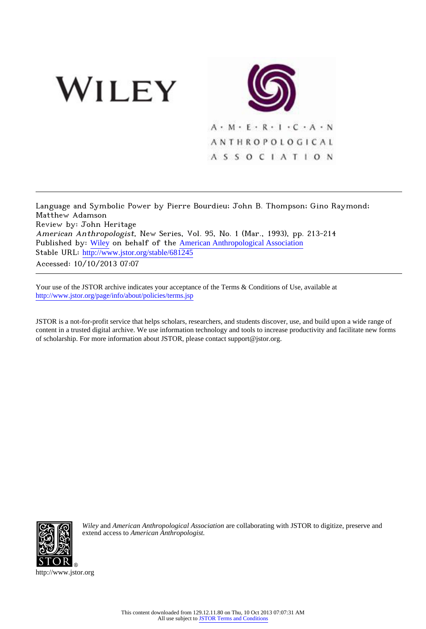

Language and Symbolic Power by Pierre Bourdieu; John B. Thompson; Gino Raymond; Matthew Adamson Review by: John Heritage American Anthropologist, New Series, Vol. 95, No. 1 (Mar., 1993), pp. 213-214 Published by: [Wiley](http://www.jstor.org/action/showPublisher?publisherCode=black) on behalf of the [American Anthropological Association](http://www.jstor.org/action/showPublisher?publisherCode=anthro) Stable URL: http://www.jstor.org/stable/681245 Accessed: 10/10/2013 07:07

Your use of the JSTOR archive indicates your acceptance of the Terms & Conditions of Use, available at <http://www.jstor.org/page/info/about/policies/terms.jsp>

JSTOR is a not-for-profit service that helps scholars, researchers, and students discover, use, and build upon a wide range of content in a trusted digital archive. We use information technology and tools to increase productivity and facilitate new forms of scholarship. For more information about JSTOR, please contact support@jstor.org.



*Wiley* and *American Anthropological Association* are collaborating with JSTOR to digitize, preserve and extend access to *American Anthropologist.*

http://www.jstor.org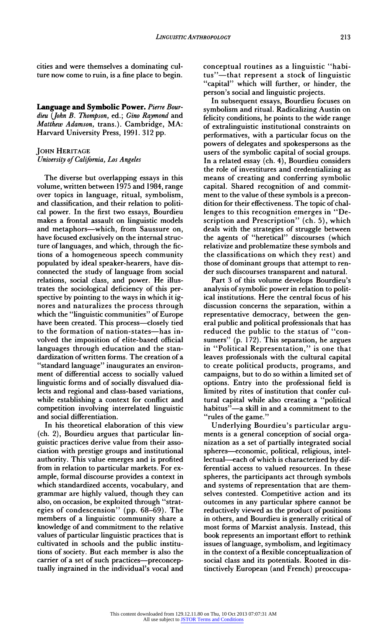**cities and were themselves a dominating culture now come to ruin, is a fine place to begin.** 

**Language and Symbolic Power. Pierre Bourdieu (John B. Thompson, ed.; Gino Raymond and Matthew Adamson, trans.). Cambridge, MA: Harvard University Press, 1991. 312 pp.** 

## **JOHN HERITAGE**

**University of California, Los Angeles** 

**The diverse but overlapping essays in this volume, written between 1975 and 1984, range over topics in language, ritual, symbolism, and classification, and their relation to political power. In the first two essays, Bourdieu makes a frontal assault on linguistic models and metaphors-which, from Saussure on, have focused exclusively on the internal structure of languages, and which, through the fictions of a homogeneous speech community populated by ideal speaker-hearers, have disconnected the study of language from social relations, social class, and power. He illustrates the sociological deficiency of this perspective by pointing to the ways in which it ignores and naturalizes the process through which the "linguistic communities" of Europe have been created. This process-closely tied to the formation of nation-states-has involved the imposition of elite-based official languages through education and the standardization of written forms. The creation of a "standard language" inaugurates an environment of differential access to socially valued linguistic forms and of socially disvalued dialects and regional and class-based variations, while establishing a context for conflict and competition involving interrelated linguistic and social differentiation.** 

**In his theoretical elaboration of this view (ch. 2), Bourdieu argues that particular linguistic practices derive value from their association with prestige groups and institutional authority. This value emerges and is profited from in relation to particular markets. For example, formal discourse provides a context in which standardized accents, vocabulary, and grammar are highly valued, though they can also, on occasion, be exploited through "strategies of condescension" (pp. 68-69). The members of a linguistic community share a knowledge of and commitment to the relative values of particular linguistic practices that is cultivated in schools and the public institutions of society. But each member is also the carrier of a set of such practices-preconceptually ingrained in the individual's vocal and**  **conceptual routines as a linguistic "habitus"-that represent a stock of linguistic "capital" which will further, or hinder, the person's social and linguistic projects.** 

**In subsequent essays, Bourdieu focuses on symbolism and ritual. Radicalizing Austin on felicity conditions, he points to the wide range of extralinguistic institutional constraints on performatives, with a particular focus on the powers of delegates and spokespersons as the users of the symbolic capital of social groups. In a related essay (ch. 4), Bourdieu considers the role of investitures and credentializing as means of creating and conferring symbolic capital. Shared recognition of and commitment to the value of these symbols is a precondition for their effectiveness. The topic of challenges to this recognition emerges in "Description and Prescription" (ch. 5), which deals with the strategies of struggle between the agents of "heretical" discourses (which relativize and problematize these symbols and the classifications on which they rest) and those of dominant groups that attempt to render such discourses transparent and natural.** 

**Part 3 of this volume develops Bourdieu's analysis of symbolic power in relation to political institutions. Here the central focus of his discussion concerns the separation, within a representative democracy, between the general public and political professionals that has reduced the public to the status of "consumers" (p. 172). This separation, he argues in "Political Representation," is one that leaves professionals with the cultural capital to create political products, programs, and campaigns, but to do so within a limited set of options. Entry into the professional field is limited by rites of institution that confer cultural capital while also creating a "political habitus"-a skill in and a commitment to the "rules of the game."** 

**Underlying Bourdieu's particular arguments is a general conception of social organization as a set of partially integrated social spheres-economic, political, religious, intellectual--each of which is characterized by differential access to valued resources. In these spheres, the participants act through symbols and systems of representation that are themselves contested. Competitive action and its outcomes in any particular sphere cannot be reductively viewed as the product of positions in others, and Bourdieu is generally critical of most forms of Marxist analysis. Instead, this book represents an important effort to rethink issues of language, symbolism, and legitimacy in the context ofa flexible conceptualization of social class and its potentials. Rooted in distinctively European (and French) preoccupa-**